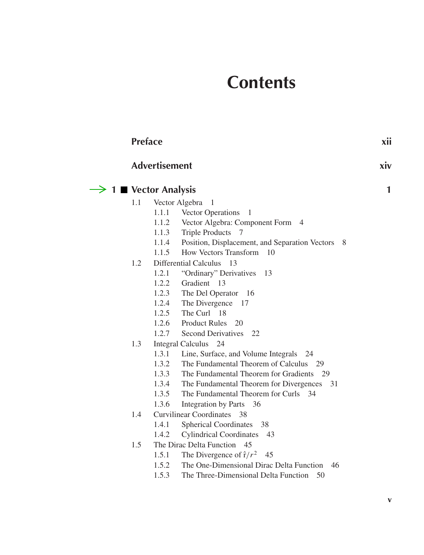# **Contents**

| <b>Preface</b>                    |       |                                                           | xii |  |
|-----------------------------------|-------|-----------------------------------------------------------|-----|--|
| <b>Advertisement</b>              |       |                                                           |     |  |
| $\rightarrow$ 1 ■ Vector Analysis |       |                                                           |     |  |
| 1.1                               |       | Vector Algebra<br>-1                                      |     |  |
|                                   | 1.1.1 | Vector Operations<br>-1                                   |     |  |
|                                   | 1.1.2 | Vector Algebra: Component Form 4                          |     |  |
|                                   | 1.1.3 | <b>Triple Products</b><br>7                               |     |  |
|                                   |       | 1.1.4 Position, Displacement, and Separation Vectors<br>8 |     |  |
|                                   |       | 1.1.5 How Vectors Transform 10                            |     |  |
| 1.2                               |       | Differential Calculus 13                                  |     |  |
|                                   | 1.2.1 | "Ordinary" Derivatives<br>- 13                            |     |  |
|                                   | 1.2.2 | Gradient 13                                               |     |  |
|                                   | 1.2.3 | The Del Operator 16                                       |     |  |
|                                   | 1.2.4 | The Divergence 17                                         |     |  |
|                                   | 1.2.5 | The Curl 18                                               |     |  |
|                                   |       | 1.2.6 Product Rules 20                                    |     |  |
|                                   | 1.2.7 | <b>Second Derivatives</b><br>22                           |     |  |
| 1.3                               |       | <b>Integral Calculus</b><br>24                            |     |  |
|                                   | 1.3.1 | Line, Surface, and Volume Integrals 24                    |     |  |
|                                   | 1.3.2 | The Fundamental Theorem of Calculus 29                    |     |  |
|                                   | 1.3.3 | The Fundamental Theorem for Gradients 29                  |     |  |
|                                   | 1.3.4 | The Fundamental Theorem for Divergences 31                |     |  |
|                                   | 1.3.5 | The Fundamental Theorem for Curls 34                      |     |  |
|                                   | 1.3.6 | Integration by Parts 36                                   |     |  |
| Curvilinear Coordinates 38<br>1.4 |       |                                                           |     |  |
|                                   | 1.4.1 | <b>Spherical Coordinates</b><br>38                        |     |  |
|                                   | 1.4.2 | <b>Cylindrical Coordinates</b><br>43                      |     |  |
| 1.5                               |       | The Dirac Delta Function 45                               |     |  |
|                                   | 1.5.1 | The Divergence of $\hat{r}/r^2$ 45                        |     |  |
|                                   | 1.5.2 | The One-Dimensional Dirac Delta Function<br>46            |     |  |
|                                   | 1.5.3 | The Three-Dimensional Delta Function<br>50                |     |  |
|                                   |       |                                                           |     |  |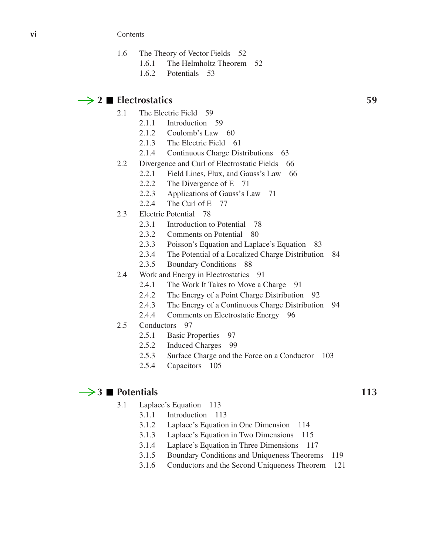**vi** Contents

- 1.6 The Theory of Vector Fields 52
	- 1.6.1 The Helmholtz Theorem 52
	- 1.6.2 Potentials 53

# $\rightarrow$  2 **Electrostatics** 59

- 2.1 The Electric Field 59
	- 2.1.1 Introduction 59
	- 2.1.2 Coulomb's Law 60
	- 2.1.3 The Electric Field 61
	- 2.1.4 Continuous Charge Distributions 63
- 2.2 Divergence and Curl of Electrostatic Fields 66
	- 2.2.1 Field Lines, Flux, and Gauss's Law 66
	- 2.2.2 The Divergence of E 71
	- 2.2.3 Applications of Gauss's Law 71
	- 2.2.4 The Curl of E 77
- 2.3 Electric Potential 78
	- 2.3.1 Introduction to Potential 78
	- 2.3.2 Comments on Potential 80
	- 2.3.3 Poisson's Equation and Laplace's Equation 83
	- 2.3.4 The Potential of a Localized Charge Distribution 84
	- 2.3.5 Boundary Conditions 88
- 2.4 Work and Energy in Electrostatics 91
	- 2.4.1 The Work It Takes to Move a Charge 91
	- 2.4.2 The Energy of a Point Charge Distribution 92
	- 2.4.3 The Energy of a Continuous Charge Distribution 94
	- 2.4.4 Comments on Electrostatic Energy 96
- 2.5 Conductors 97
	- 2.5.1 Basic Properties 97
	- 2.5.2 Induced Charges 99
	- 2.5.3 Surface Charge and the Force on a Conductor 103
	- 2.5.4 Capacitors 105

### $\rightarrow$  3 **P**otentials 113

- 3.1 Laplace's Equation 113
	- 3.1.1 Introduction 113
	- 3.1.2 Laplace's Equation in One Dimension 114
	- 3.1.3 Laplace's Equation in Two Dimensions 115
	- 3.1.4 Laplace's Equation in Three Dimensions 117
	- 3.1.5 Boundary Conditions and Uniqueness Theorems 119
	- 3.1.6 Conductors and the Second Uniqueness Theorem 121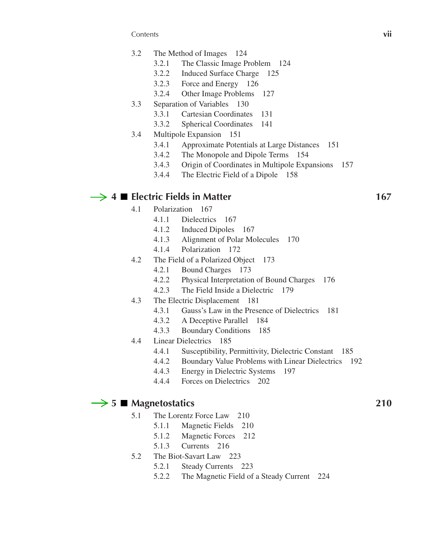Contents **vii**

- 3.2 The Method of Images 124
	- 3.2.1 The Classic Image Problem 124
	- 3.2.2 Induced Surface Charge 125
	- 3.2.3 Force and Energy 126
	- 3.2.4 Other Image Problems 127
- 3.3 Separation of Variables 130
	- 3.3.1 Cartesian Coordinates 131
	- 3.3.2 Spherical Coordinates 141
- 3.4 Multipole Expansion 151
	- 3.4.1 Approximate Potentials at Large Distances 151
	- 3.4.2 The Monopole and Dipole Terms 154
	- 3.4.3 Origin of Coordinates in Multipole Expansions 157
	- 3.4.4 The Electric Field of a Dipole 158

# $\rightarrow$  4 **Electric Fields in Matter** 167

- 4.1 Polarization 167
	- 4.1.1 Dielectrics 167
	- 4.1.2 Induced Dipoles 167
	- 4.1.3 Alignment of Polar Molecules 170
	- 4.1.4 Polarization 172
- 4.2 The Field of a Polarized Object 173
	- 4.2.1 Bound Charges 173
	- 4.2.2 Physical Interpretation of Bound Charges 176
	- 4.2.3 The Field Inside a Dielectric 179
- 4.3 The Electric Displacement 181
	- 4.3.1 Gauss's Law in the Presence of Dielectrics 181
	- 4.3.2 A Deceptive Parallel 184
	- 4.3.3 Boundary Conditions 185
- 4.4 Linear Dielectrics 185
	- 4.4.1 Susceptibility, Permittivity, Dielectric Constant 185
	- 4.4.2 Boundary Value Problems with Linear Dielectrics 192
	- 4.4.3 Energy in Dielectric Systems 197
	- 4.4.4 Forces on Dielectrics 202

### $\rightarrow$  5 **Magnetostatics** 210

- 5.1 The Lorentz Force Law 210
	- 5.1.1 Magnetic Fields 210
	- 5.1.2 Magnetic Forces 212
	- 5.1.3 Currents 216
- 5.2 The Biot-Savart Law 223
	- 5.2.1 Steady Currents 223
	- 5.2.2 The Magnetic Field of a Steady Current 224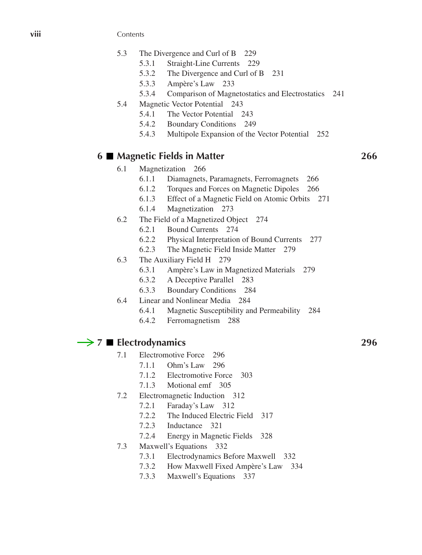**viii** Contents

- 5.3 The Divergence and Curl of B 229
	- 5.3.1 Straight-Line Currents 229
	- 5.3.2 The Divergence and Curl of B 231
	- 5.3.3 Ampère's Law 233
	- 5.3.4 Comparison of Magnetostatics and Electrostatics 241
- 5.4 Magnetic Vector Potential 243
	- 5.4.1 The Vector Potential 243
	- 5.4.2 Boundary Conditions 249
	- 5.4.3 Multipole Expansion of the Vector Potential 252

# **6 Magnetic Fields in Matter 266**

- 6.1 Magnetization 266
	- 6.1.1 Diamagnets, Paramagnets, Ferromagnets 266
	- 6.1.2 Torques and Forces on Magnetic Dipoles 266
	- 6.1.3 Effect of a Magnetic Field on Atomic Orbits 271
	- 6.1.4 Magnetization 273
- 6.2 The Field of a Magnetized Object 274
	- 6.2.1 Bound Currents 274
	- 6.2.2 Physical Interpretation of Bound Currents 277
	- 6.2.3 The Magnetic Field Inside Matter 279
- 6.3 The Auxiliary Field H 279
	- 6.3.1 Ampère's Law in Magnetized Materials 279
	- 6.3.2 A Deceptive Parallel 283
	- 6.3.3 Boundary Conditions 284
- 6.4 Linear and Nonlinear Media 284
	- 6.4.1 Magnetic Susceptibility and Permeability 284
	- 6.4.2 Ferromagnetism 288

# $\rightarrow$  **7** ■ Electrodynamics 296

- 7.1 Electromotive Force 296
	- 7.1.1 Ohm's Law 296
	- 7.1.2 Electromotive Force 303
	- 7.1.3 Motional emf 305
- 7.2 Electromagnetic Induction 312
	- 7.2.1 Faraday's Law 312
	- 7.2.2 The Induced Electric Field 317
	- 7.2.3 Inductance 321
	- 7.2.4 Energy in Magnetic Fields 328
- 7.3 Maxwell's Equations 332
	- 7.3.1 Electrodynamics Before Maxwell 332
	- 7.3.2 How Maxwell Fixed Ampère's Law 334
	- 7.3.3 Maxwell's Equations 337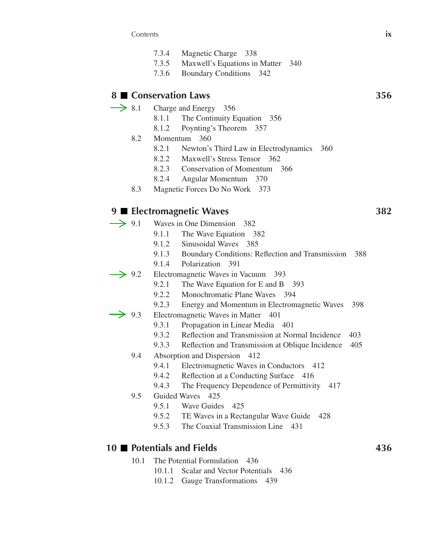Contents **ix**

- 7.3.4 Magnetic Charge 338
- 7.3.5 Maxwell's Equations in Matter 340
- 7.3.6 Boundary Conditions 342

## **8 Conservation Laws 356**

- $\rightarrow$  8.1 Charge and Energy 356
	- 8.1.1 The Continuity Equation 356
	- 8.1.2 Poynting's Theorem 357
	- 8.2 Momentum 360
		- 8.2.1 Newton's Third Law in Electrodynamics 360
		- 8.2.2 Maxwell's Stress Tensor 362
		- 8.2.3 Conservation of Momentum 366
		- 8.2.4 Angular Momentum 370
	- 8.3 Magnetic Forces Do No Work 373

# **9 Electromagnetic Waves 382**

- $\rightarrow$  9.1 Waves in One Dimension 382
	- 9.1.1 The Wave Equation 382
	- 9.1.2 Sinusoidal Waves 385
	- 9.1.3 Boundary Conditions: Reflection and Transmission 388
	- 9.1.4 Polarization 391
- $\rightarrow$  9.2 Electromagnetic Waves in Vacuum 393
	- 9.2.1 The Wave Equation for E and B 393
	- 9.2.2 Monochromatic Plane Waves 394
	- 9.2.3 Energy and Momentum in Electromagnetic Waves 398
- $\rightarrow$  9.3 Electromagnetic Waves in Matter 401
	- 9.3.1 Propagation in Linear Media 401
	- 9.3.2 Reflection and Transmission at Normal Incidence 403
	- 9.3.3 Reflection and Transmission at Oblique Incidence 405
	- 9.4 Absorption and Dispersion 412
		- 9.4.1 Electromagnetic Waves in Conductors 412
		- 9.4.2 Reflection at a Conducting Surface 416
		- 9.4.3 The Frequency Dependence of Permittivity 417
	- 9.5 Guided Waves 425
		- 9.5.1 Wave Guides 425
		- 9.5.2 TE Waves in a Rectangular Wave Guide 428
		- 9.5.3 The Coaxial Transmission Line 431

### **10** Potentials and Fields **436**

- 10.1 The Potential Formulation 436
	- 10.1.1 Scalar and Vector Potentials 436
	- 10.1.2 Gauge Transformations 439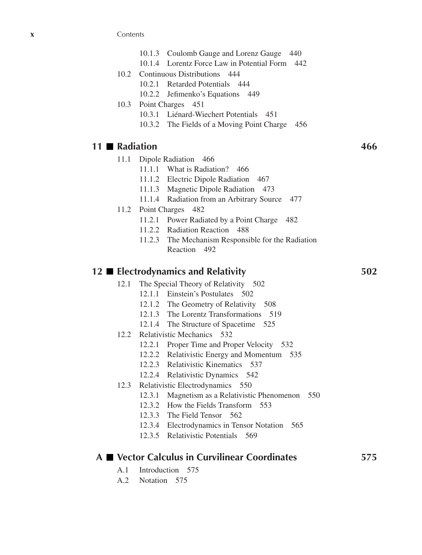**x** Contents

- 10.1.3 Coulomb Gauge and Lorenz Gauge 440
- 10.1.4 Lorentz Force Law in Potential Form 442
- 10.2 Continuous Distributions 444
	- 10.2.1 Retarded Potentials 444
	- 10.2.2 Jefimenko's Equations 449
- 10.3 Point Charges 451
	- 10.3.1 Liénard-Wiechert Potentials 451
	- 10.3.2 The Fields of a Moving Point Charge 456

### **11 Radiation 466**

- 11.1 Dipole Radiation 466
	- 11.1.1 What is Radiation? 466
	- 11.1.2 Electric Dipole Radiation 467
	- 11.1.3 Magnetic Dipole Radiation 473
	- 11.1.4 Radiation from an Arbitrary Source 477
- 11.2 Point Charges 482
	- 11.2.1 Power Radiated by a Point Charge 482
	- 11.2.2 Radiation Reaction 488
	- 11.2.3 The Mechanism Responsible for the Radiation Reaction 492

### **12 Electrodynamics and Relativity 502**

- 12.1 The Special Theory of Relativity 502
	- 12.1.1 Einstein's Postulates 502
	- 12.1.2 The Geometry of Relativity 508
	- 12.1.3 The Lorentz Transformations 519
	- 12.1.4 The Structure of Spacetime 525
- 12.2 Relativistic Mechanics 532
	- 12.2.1 Proper Time and Proper Velocity 532
	- 12.2.2 Relativistic Energy and Momentum 535
	- 12.2.3 Relativistic Kinematics 537
	- 12.2.4 Relativistic Dynamics 542
- 12.3 Relativistic Electrodynamics 550
	- 12.3.1 Magnetism as a Relativistic Phenomenon 550
	- 12.3.2 How the Fields Transform 553
	- 12.3.3 The Field Tensor 562
	- 12.3.4 Electrodynamics in Tensor Notation 565
	- 12.3.5 Relativistic Potentials 569

### **A Vector Calculus in Curvilinear Coordinates 575**

- A.1 Introduction 575
- A.2 Notation 575